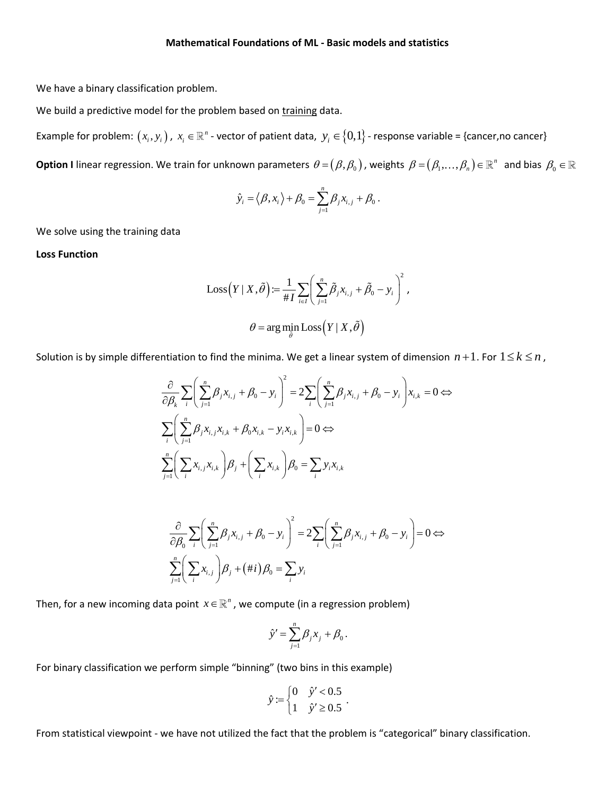We have a binary classification problem.

We build a predictive model for the problem based on training data.

Example for problem:  $(x_i, y_i)$  ,  $x_i\in\mathbb R^n$  - vector of patient data,  $y_i\in\{0,1\}$  - response variable = {cancer,no cancer}

Option I linear regression. We train for unknown parameters  $\theta = (\beta, \beta_0)$  , weights  $\beta = (\beta_1, ..., \beta_n) \in \R^n$  and bias  $\beta_0 \in$ 

$$
\hat{y}_i = \langle \beta, x_i \rangle + \beta_0 = \sum_{j=1}^n \beta_j x_{i,j} + \beta_0.
$$

We solve using the training data

**Loss Function**

$$
Loss(Y | X, \tilde{\theta}) := \frac{1}{\#I} \sum_{i \in I} \left( \sum_{j=1}^{n} \tilde{\beta}_{j} x_{i,j} + \tilde{\beta}_{0} - y_{i} \right)^{2},
$$

$$
\theta = arg \min_{\tilde{\theta}} Loss(Y | X, \tilde{\theta})
$$

Solution is by simple differentiation to find the minima. We get a linear system of dimension 
$$
n + 1
$$
. For  $1 \le k \le n$ ,  
\n
$$
\frac{\partial}{\partial \beta_k} \sum_{i} \left( \sum_{j=1}^n \beta_j x_{i,j} + \beta_0 - y_i \right)^2 = 2 \sum_{i} \left( \sum_{j=1}^n \beta_j x_{i,j} + \beta_0 - y_i \right) x_{i,k} = 0 \Leftrightarrow
$$
\n
$$
\sum_{i} \left( \sum_{j=1}^n \beta_j x_{i,j} x_{i,k} + \beta_0 x_{i,k} - y_i x_{i,k} \right) = 0 \Leftrightarrow
$$
\n
$$
\sum_{j=1}^n \left( \sum_i x_{i,j} x_{i,k} \right) \beta_j + \left( \sum_i x_{i,k} \right) \beta_0 = \sum_i y_i x_{i,k}
$$

$$
\frac{\partial}{\partial \beta_0} \sum_{i} \left( \sum_{j=1}^n \beta_j x_{i,j} + \beta_0 - y_i \right)^2 = 2 \sum_{i} \left( \sum_{j=1}^n \beta_j x_{i,j} + \beta_0 - y_i \right) = 0 \Leftrightarrow
$$
\n
$$
\sum_{j=1}^n \left( \sum_{i} x_{i,j} \right) \beta_j + (\#i) \beta_0 = \sum_{i} y_i
$$

Then, for a new incoming data point  $x \in \mathbb{R}^n$  , we compute (in a regression problem)

$$
\hat{y}' = \sum_{j=1}^n \beta_j x_j + \beta_0.
$$

For binary classification we perform simple "binning" (two bins in this example)

$$
\hat{y} := \begin{cases} 0 & \hat{y}' < 0.5 \\ 1 & \hat{y}' \ge 0.5 \end{cases}.
$$

From statistical viewpoint - we have not utilized the fact that the problem is "categorical" binary classification.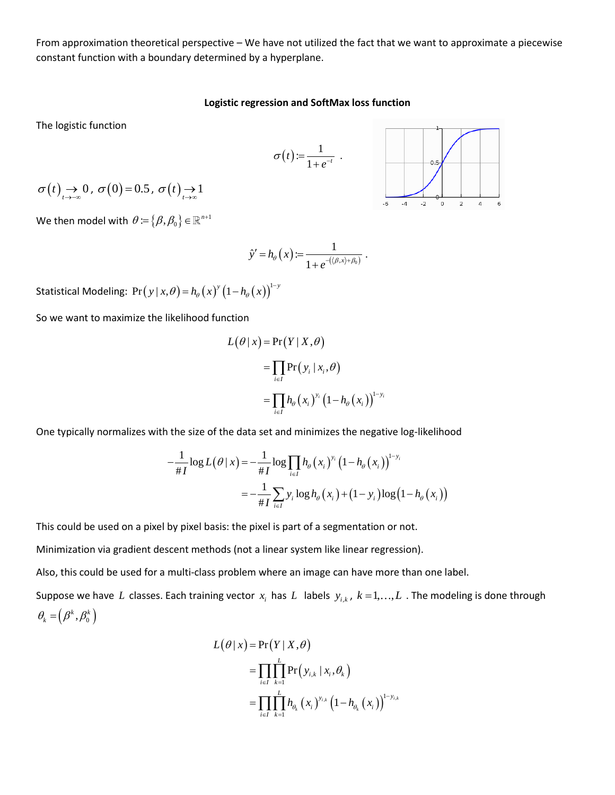From approximation theoretical perspective – We have not utilized the fact that we want to approximate a piecewise constant function with a boundary determined by a hyperplane.

#### **Logistic regression and SoftMax loss function**

 $(t) := \frac{1}{1}$  $t := \frac{1}{1+e^{-t}}$  $\sigma(t) = \frac{1}{1+e^{-t}}$ 

The logistic function



We then model with  $\,\theta\!:=\!\left\{\beta,\beta_{{\scriptscriptstyle 0}}\right\}\!\in\! \mathbb{R}^{n+1}$ 

$$
\hat{y}' = h_{\theta}\left(x\right) := \frac{1}{1 + e^{-\left(\langle \beta, x \rangle + \beta_0\right)}}.
$$

Statistical Modeling:  $Pr(\left| y \mid x, \theta \right) = h_{\theta}\left( x \right)^y \left( 1 - h_{\theta}\left( x \right) \right)^{1 - y}$ 

So we want to maximize the likelihood function

$$
L(\theta | x) = Pr(Y | X, \theta)
$$
  
= 
$$
\prod_{i \in I} Pr(y_i | x_i, \theta)
$$
  
= 
$$
\prod_{i \in I} h_{\theta}(x_i)^{y_i} (1 - h_{\theta}(x_i))^{1-y_i}
$$

One typically normalizes with the size of the data set and minimizes the negative log-likelihood  
\n
$$
-\frac{1}{\#I}\log L(\theta | x) = -\frac{1}{\#I}\log \prod_{i\in I} h_{\theta}(x_i)^{y_i} (1 - h_{\theta}(x_i))^{1-y_i}
$$
\n
$$
= -\frac{1}{\#I} \sum_{i\in I} y_i \log h_{\theta}(x_i) + (1 - y_i) \log (1 - h_{\theta}(x_i))
$$

This could be used on a pixel by pixel basis: the pixel is part of a segmentation or not.

Minimization via gradient descent methods (not a linear system like linear regression).

Also, this could be used for a multi-class problem where an image can have more than one label.

Suppose we have L classes. Each training vector  $x_i$  has L labels  $y_{i,k}$ ,  $k=1,\ldots,L$  . The modeling is done through  $\theta_{\scriptscriptstyle{k}}^{} = \left( \beta^{\scriptscriptstyle{k}} , \beta_{\scriptscriptstyle{0}}^{\scriptscriptstyle{k}} \right)^{}$ 

$$
L(\theta | x) = Pr(Y | X, \theta)
$$
  
= 
$$
\prod_{i \in I} \prod_{k=1}^{L} Pr(y_{i,k} | x_i, \theta_k)
$$
  
= 
$$
\prod_{i \in I} \prod_{k=1}^{L} h_{\theta_k}(x_i)^{y_{i,k}} (1 - h_{\theta_k}(x_i))^{1-y_{i,k}}
$$

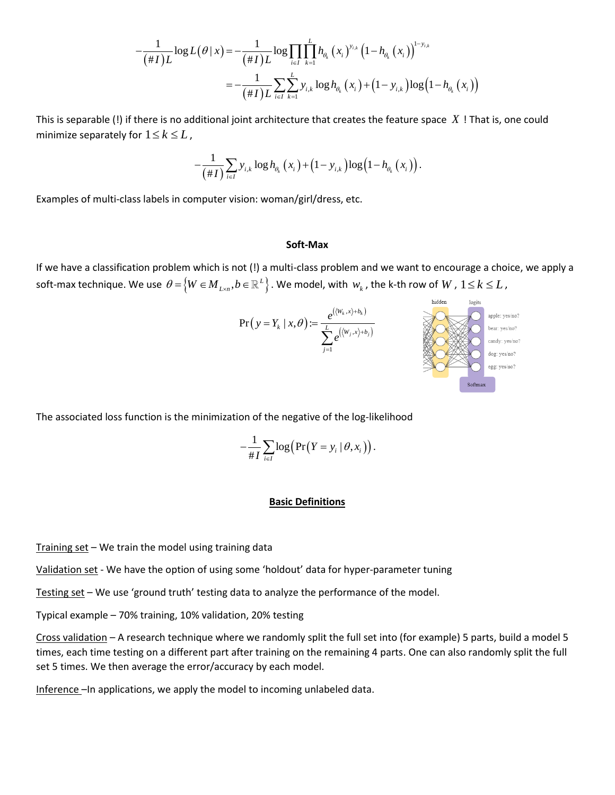$$
-\frac{1}{(\# I)L}\log L(\theta | x) = -\frac{1}{(\# I)L}\log \prod_{i \in I}\prod_{k=1}^{L} h_{\theta_k}\left(x_i\right)^{y_{i,k}}\left(1-h_{\theta_k}\left(x_i\right)\right)^{1-y_{i,k}} = -\frac{1}{(\# I)L}\sum_{i \in I}\sum_{k=1}^{L} y_{i,k}\log h_{\theta_k}\left(x_i\right) + \left(1-y_{i,k}\right)\log \left(1-h_{\theta_k}\left(x_i\right)\right)
$$

This is separable (!) if there is no additional joint architecture that creates the feature space *X* ! That is, one could minimize separately for  $1 \leq k \leq L$  ,

$$
-\frac{1}{(\# I)}\sum_{i\in I}y_{i,k}\log h_{\theta_{k}}(x_{i})+(1-y_{i,k})\log(1-h_{\theta_{k}}(x_{i}))\,.
$$

Examples of multi-class labels in computer vision: woman/girl/dress, etc.

#### **Soft-Max**

If we have a classification problem which is not (!) a multi-class problem and we want to encourage a choice, we apply a  $\text{soft-max technique. We use } \theta \!=\! \!\left\{ \!W \!\in\! M_{_{L \!\times\! n}}, \!b \!\in\! \mathbb{R}^L \right\} .$  We model, with  $\,w_k$  , the k-th row of  $W$  ,  $1 \!\leq\! k \!\leq\! L$  ,



The associated loss function is the minimization of the negative of the log-likelihood

$$
-\frac{1}{\#I}\sum_{i\in I}\log\bigl(\Pr(Y=y_i\mid\theta,x_i)\bigr).
$$

### **Basic Definitions**

Training set  $-$  We train the model using training data

Validation set - We have the option of using some 'holdout' data for hyper-parameter tuning

Testing set – We use 'ground truth' testing data to analyze the performance of the model.

Typical example – 70% training, 10% validation, 20% testing

Cross validation – A research technique where we randomly split the full set into (for example) 5 parts, build a model 5 times, each time testing on a different part after training on the remaining 4 parts. One can also randomly split the full set 5 times. We then average the error/accuracy by each model.

Inference –In applications, we apply the model to incoming unlabeled data.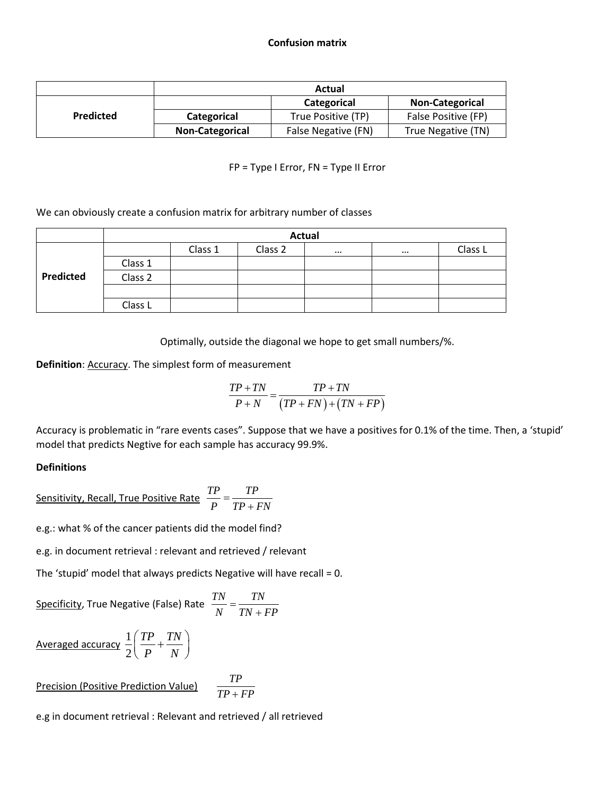## **Confusion matrix**

|                  | Actual                 |                     |                        |  |  |  |
|------------------|------------------------|---------------------|------------------------|--|--|--|
| <b>Predicted</b> |                        | Categorical         | <b>Non-Categorical</b> |  |  |  |
|                  | Categorical            | True Positive (TP)  | False Positive (FP)    |  |  |  |
|                  | <b>Non-Categorical</b> | False Negative (FN) | True Negative (TN)     |  |  |  |

## FP = Type I Error, FN = Type II Error

We can obviously create a confusion matrix for arbitrary number of classes

|           | <b>Actual</b> |         |         |          |          |         |  |  |
|-----------|---------------|---------|---------|----------|----------|---------|--|--|
|           |               | Class 1 | Class 2 | $\cdots$ | $\cdots$ | Class L |  |  |
| Predicted | Class 1       |         |         |          |          |         |  |  |
|           | Class 2       |         |         |          |          |         |  |  |
|           |               |         |         |          |          |         |  |  |
|           | Class L       |         |         |          |          |         |  |  |

Optimally, outside the diagonal we hope to get small numbers/%.

**Definition: Accuracy. The simplest form of measurement** 

$$
\frac{TP + TN}{P + N} = \frac{TP + TN}{(TP + FN) + (TN + FP)}
$$

Accuracy is problematic in "rare events cases". Suppose that we have a positives for 0.1% of the time. Then, a 'stupid' model that predicts Negtive for each sample has accuracy 99.9%.

# **Definitions**

$$
\underline{\text{Sensitivity, Recall, True Positive Rate}} \frac{TP}{P} = \frac{TP}{TP + FN}
$$

e.g.: what % of the cancer patients did the model find?

e.g. in document retrieval : relevant and retrieved / relevant

The 'stupid' model that always predicts Negative will have recall = 0.

Specificity, True Negative (False) Rate 
$$
\frac{TN}{N} = \frac{TN}{TN + FP}
$$

$$
\frac{\text{Averaged accuracy}}{2} \frac{1}{2} \left( \frac{TP}{P} + \frac{TN}{N} \right)
$$

Precision (Positive Prediction Value) 
$$
\frac{TP}{TP + FP}
$$

e.g in document retrieval : Relevant and retrieved / all retrieved